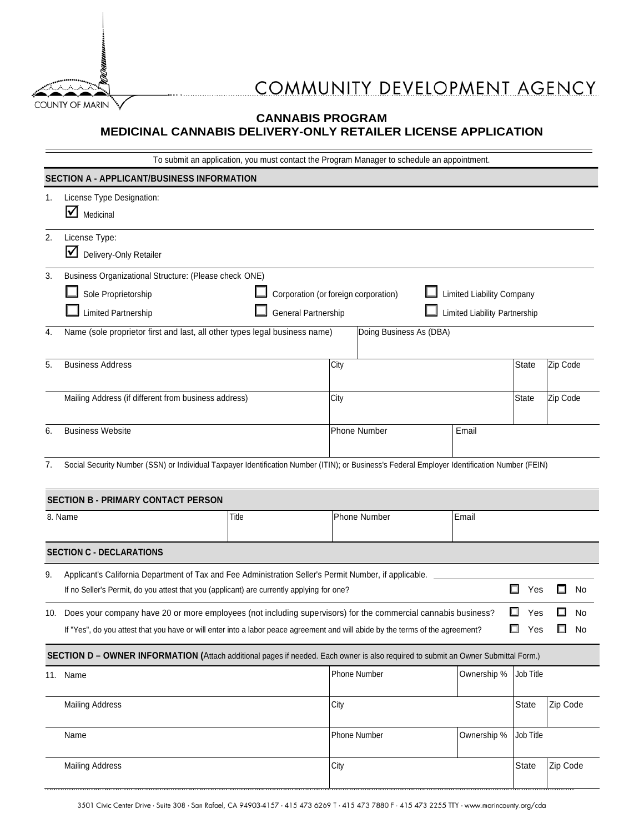

## COMMUNITY DEVELOPMENT AGENCY

## **CANNABIS PROGRAM MEDICINAL CANNABIS DELIVERY-ONLY RETAILER LICENSE APPLICATION**

| To submit an application, you must contact the Program Manager to schedule an appointment.                                        |                                                                                                                                                                                                                                                                                                                                           |       |                       |              |             |           |          |  |  |
|-----------------------------------------------------------------------------------------------------------------------------------|-------------------------------------------------------------------------------------------------------------------------------------------------------------------------------------------------------------------------------------------------------------------------------------------------------------------------------------------|-------|-----------------------|--------------|-------------|-----------|----------|--|--|
|                                                                                                                                   | SECTION A - APPLICANT/BUSINESS INFORMATION                                                                                                                                                                                                                                                                                                |       |                       |              |             |           |          |  |  |
| 1.                                                                                                                                | License Type Designation:<br>$\blacksquare$ Medicinal                                                                                                                                                                                                                                                                                     |       |                       |              |             |           |          |  |  |
| 2.                                                                                                                                | License Type:<br>Delivery-Only Retailer                                                                                                                                                                                                                                                                                                   |       |                       |              |             |           |          |  |  |
| 3.<br>4.                                                                                                                          | Business Organizational Structure: (Please check ONE)<br>Sole Proprietorship<br>Corporation (or foreign corporation)<br>Limited Liability Company<br>Limited Partnership<br>General Partnership<br>Limited Liability Partnership<br>Name (sole proprietor first and last, all other types legal business name)<br>Doing Business As (DBA) |       |                       |              |             |           |          |  |  |
| 5.                                                                                                                                | <b>Business Address</b>                                                                                                                                                                                                                                                                                                                   |       | City                  |              |             | State     | Zip Code |  |  |
|                                                                                                                                   | Mailing Address (if different from business address)                                                                                                                                                                                                                                                                                      |       | City                  |              |             | State     | Zip Code |  |  |
| 6.                                                                                                                                | <b>Business Website</b>                                                                                                                                                                                                                                                                                                                   |       | Phone Number<br>Email |              |             |           |          |  |  |
| 7.                                                                                                                                | Social Security Number (SSN) or Individual Taxpayer Identification Number (ITIN); or Business's Federal Employer Identification Number (FEIN)<br><b>SECTION B - PRIMARY CONTACT PERSON</b>                                                                                                                                                |       |                       |              |             |           |          |  |  |
| 8. Name                                                                                                                           |                                                                                                                                                                                                                                                                                                                                           | Title |                       | Phone Number | Email       |           |          |  |  |
|                                                                                                                                   | <b>SECTION C - DECLARATIONS</b>                                                                                                                                                                                                                                                                                                           |       |                       |              |             |           |          |  |  |
| 9.                                                                                                                                | Applicant's California Department of Tax and Fee Administration Seller's Permit Number, if applicable.<br>□<br>If no Seller's Permit, do you attest that you (applicant) are currently applying for one?<br>Yes<br>No                                                                                                                     |       |                       |              |             |           |          |  |  |
|                                                                                                                                   | 10. Does your company have 20 or more employees (not including supervisors) for the commercial cannabis business?<br>□<br>No<br>Yes<br>$\Box$<br>Yes<br>No<br>If "Yes", do you attest that you have or will enter into a labor peace agreement and will abide by the terms of the agreement?<br>$\Box$                                    |       |                       |              |             |           |          |  |  |
| SECTION D - OWNER INFORMATION (Attach additional pages if needed. Each owner is also required to submit an Owner Submittal Form.) |                                                                                                                                                                                                                                                                                                                                           |       |                       |              |             |           |          |  |  |
|                                                                                                                                   | 11. Name                                                                                                                                                                                                                                                                                                                                  |       |                       | Phone Number | Ownership % | Job Title |          |  |  |
|                                                                                                                                   | Mailing Address                                                                                                                                                                                                                                                                                                                           |       | City                  |              |             | State     | Zip Code |  |  |
|                                                                                                                                   | Name                                                                                                                                                                                                                                                                                                                                      |       |                       | Phone Number | Ownership % | Job Title |          |  |  |
|                                                                                                                                   | <b>Mailing Address</b>                                                                                                                                                                                                                                                                                                                    |       | City                  |              |             | State     | Zip Code |  |  |